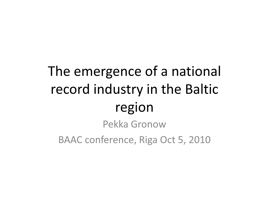# The emergence of a national record industry in the Baltic regionPekka Gronow

BAAC conference, Riga Oct 5, 2010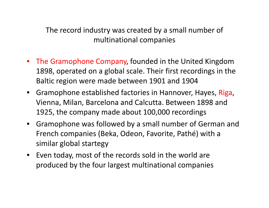The record industry was created by a small number of multinational companies

- The Gramophone Company, founded in the United Kingdom 1898, operated on a global scale. Their first recordings in the Baltic region were made between 1901 and 1904
- Gramophone established factories in Hannover, Hayes, Riga, Vienna, Milan, Barcelona and Calcutta. Between 1898 and 1925, the company made about 100,000 recordings
- Gramophone was followed by a small number of German and French companies (Beka, Odeon, Favorite, Pathé) with a similar global startegy
- Even today, most of the records sold in the world are produced by the four largest multinational companies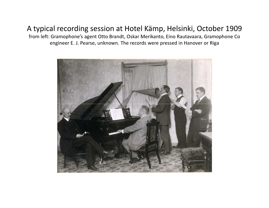## A typical recording session at Hotel Kämp, Helsinki, October 1909

 from left: Gramophone's agent Otto Brandt, Oskar Merikanto, Eino Rautavaara, Gramophone Co engineer E. J. Pearse, unknown. The records were pressed in Hanover or Riga

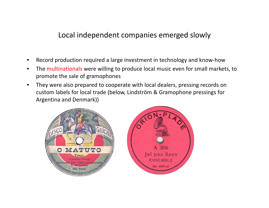#### Local independent companies emerged slowly

- •Record production required a large investment in technology and know-how
- The multinationals were willing to produce local music even for small markets, to  $\bullet$ promote the sale of gramophones
- • They were also prepared to cooperate with local dealers, pressing records on custom labels for local trade (below, Lindström & Gramophone pressings for Argentina and Denmark))

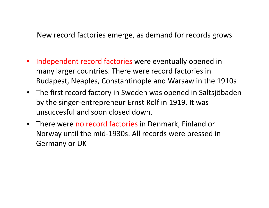New record factories emerge, as demand for records grows

- Independent record factories were eventually opened in many larger countries. There were record factories in Budapest, Neaples, Constantinople and Warsaw in the 1910s
- The first record factory in Sweden was opened in Saltsjöbaden by the singer-entrepreneur Ernst Rolf in 1919. It was unsuccesful and soon closed down.
- **•** There were no record factories in Denmark, Finland or Norway until the mid-1930s. All records were pressed in Germany or UK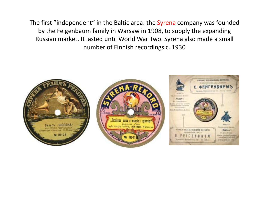The first "independent" in the Baltic area: the Syrena company was founded by the Feigenbaum family in Warsaw in 1908, to supply the expanding Russian market. It lasted until World War Two. Syrena also made a small number of Finnish recordings c. 1930

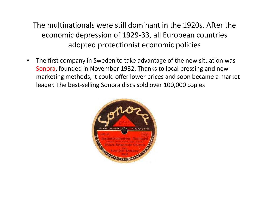## The multinationals were still dominant in the 1920s. After the economic depression of 1929-33, all European countries adopted protectionist economic policies

 $\bullet$  The first company in Sweden to take advantage of the new situation was Sonora, founded in November 1932. Thanks to local pressing and new marketing methods, it could offer lower prices and soon became a market leader. The best-selling Sonora discs sold over 100,000 copies

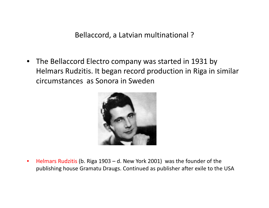Bellaccord, a Latvian multinational ?

• The Bellaccord Electro company was started in 1931 by Helmars Rudzitis. It began record production in Riga in similar circumstances as Sonora in Sweden



 $\bullet$  Helmars Rudzitis (b. Riga 1903 – d. New York 2001) was the founder of the publishing house Gramatu Draugs. Continued as publisher after exile to the USA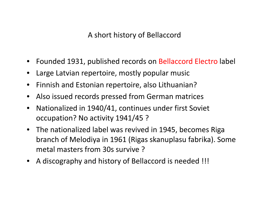A short history of Bellaccord

- •Founded 1931, published records on Bellaccord Electro label
- •Large Latvian repertoire, mostly popular music
- $\bullet$ Finnish and Estonian repertoire, also Lithuanian?
- $\bullet$ Also issued records pressed from German matrices
- $\bullet$  Nationalized in 1940/41, continues under first Soviet occupation? No activity 1941/45 ?
- The nationalized label was revived in 1945, becomes Riga branch of Melodiya in 1961 (Rigas skanuplasu fabrika). Some metal masters from 30s survive ?
- A discography and history of Bellaccord is needed !!!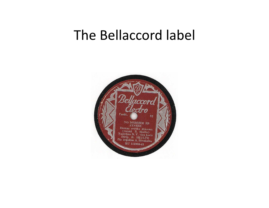## The Bellaccord label

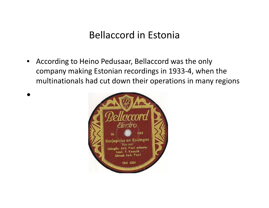## Bellaccord in Estonia

• According to Heino Pedusaar, Bellaccord was the only company making Estonian recordings in 1933-4, when the multinationals had cut down their operations in many regions



 $\bullet$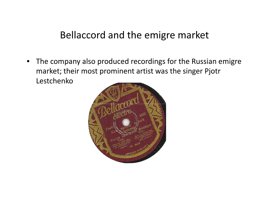## Bellaccord and the emigre market

 $\bullet$  The company also produced recordings for the Russian emigre market; their most prominent artist was the singer Pjotr Lestchenko

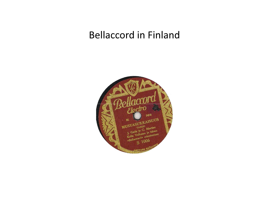## Bellaccord in Finland

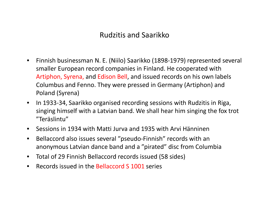## Rudzitis and Saarikko

- $\bullet$  Finnish businessman N. E. (Niilo) Saarikko (1898-1979) represented several smaller European record companies in Finland. He cooperated with Artiphon, Syrena, and Edison Bell, and issued records on his own labels Columbus and Fenno. They were pressed in Germany (Artiphon) and Poland (Syrena)
- $\bullet$  In 1933-34, Saarikko organised recording sessions with Rudzitis in Riga, singing himself with a Latvian band. We shall hear him singing the fox trot "Teräslintu"
- $\bullet$ Sessions in 1934 with Matti Jurva and 1935 with Arvi Hänninen
- $\bullet$  Bellaccord also issues several "pseudo-Finnish" records with an anonymous Latvian dance band and a "pirated" disc from Columbia
- $\bullet$ Total of 29 Finnish Bellaccord records issued (58 sides)
- •Records issued in the Bellaccord S 1001 series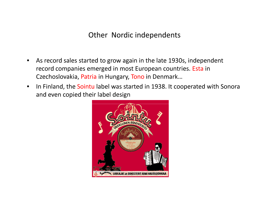## Other Nordic independents

- $\bullet$  As record sales started to grow again in the late 1930s, independent record companies emerged in most European countries. Esta in Czechoslovakia, <mark>Patria</mark> in Hungary, <mark>Tono</mark> in Denmark…
- In Finland, the Sointu label was started in 1938. It cooperated with Sonora  $\bullet$ and even copied their label design

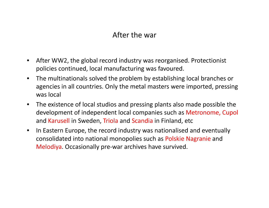## After the war

- $\bullet$  After WW2, the global record industry was reorganised. Protectionist policies continued, local manufacturing was favoured.
- $\bullet$  The multinationals solved the problem by establishing local branches or agencies in all countries. Only the metal masters were imported, pressing was local
- $\bullet$  The existence of local studios and pressing plants also made possible the development of independent local companies such as Metronome, Cupol and <mark>Karusell</mark> in Sweden, <mark>Triola</mark> and <mark>Scandia</mark> in Finland, etc
- $\bullet$  In Eastern Europe, the record industry was nationalised and eventually consolidated into national monopolies such as Polskie Nagranie and Melodiya. Occasionally pre-war archives have survived.